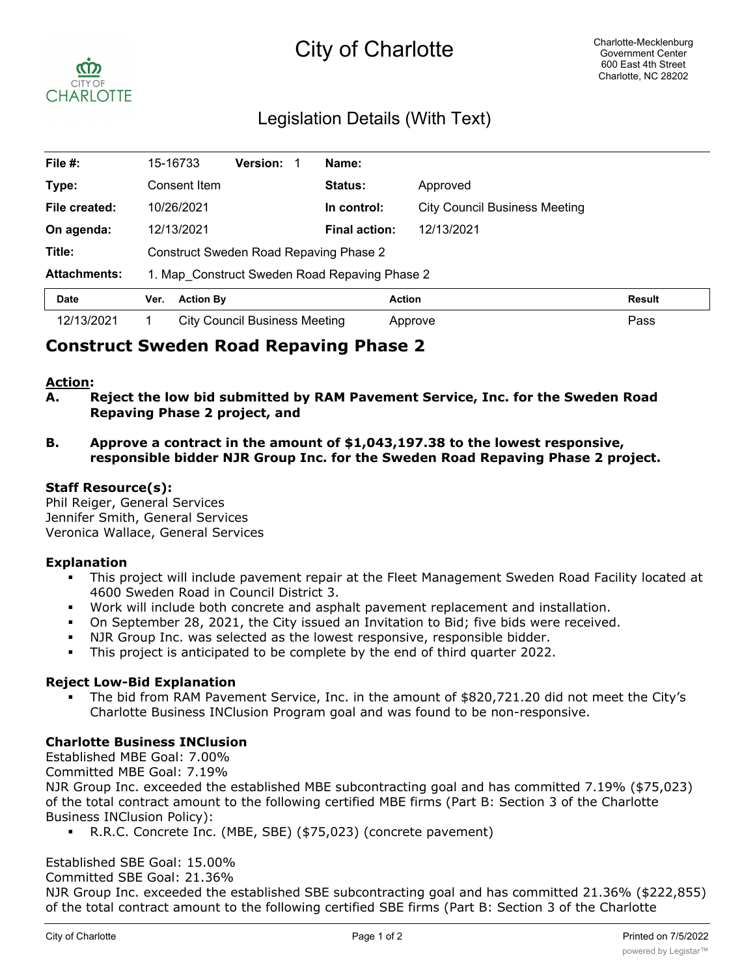# City of Charlotte



# Legislation Details (With Text)

| File $#$ :          | 15-16733                                      |                                        | <b>Version:</b>               |  | Name:                |                                      |        |  |
|---------------------|-----------------------------------------------|----------------------------------------|-------------------------------|--|----------------------|--------------------------------------|--------|--|
| Type:               |                                               | Consent Item                           |                               |  | <b>Status:</b>       | Approved                             |        |  |
| File created:       | 10/26/2021                                    |                                        |                               |  | In control:          | <b>City Council Business Meeting</b> |        |  |
| On agenda:          |                                               | 12/13/2021                             |                               |  | <b>Final action:</b> | 12/13/2021                           |        |  |
| Title:              |                                               | Construct Sweden Road Repaving Phase 2 |                               |  |                      |                                      |        |  |
| <b>Attachments:</b> | 1. Map Construct Sweden Road Repaving Phase 2 |                                        |                               |  |                      |                                      |        |  |
| <b>Date</b>         | Ver.                                          | <b>Action By</b>                       |                               |  |                      | <b>Action</b>                        | Result |  |
| 12/13/2021          |                                               |                                        | City Council Business Meeting |  |                      | Approve                              | Pass   |  |

## **Construct Sweden Road Repaving Phase 2**

#### **Action:**

- **A. Reject the low bid submitted by RAM Pavement Service, Inc. for the Sweden Road Repaving Phase 2 project, and**
- **B. Approve a contract in the amount of \$1,043,197.38 to the lowest responsive, responsible bidder NJR Group Inc. for the Sweden Road Repaving Phase 2 project.**

#### **Staff Resource(s):**

Phil Reiger, General Services Jennifer Smith, General Services Veronica Wallace, General Services

#### **Explanation**

- This project will include pavement repair at the Fleet Management Sweden Road Facility located at 4600 Sweden Road in Council District 3.
- § Work will include both concrete and asphalt pavement replacement and installation.
- On September 28, 2021, the City issued an Invitation to Bid; five bids were received.
- NJR Group Inc. was selected as the lowest responsive, responsible bidder.
- § This project is anticipated to be complete by the end of third quarter 2022.

#### **Reject Low-Bid Explanation**

§ The bid from RAM Pavement Service, Inc. in the amount of \$820,721.20 did not meet the City's Charlotte Business INClusion Program goal and was found to be non-responsive.

#### **Charlotte Business INClusion**

Established MBE Goal: 7.00%

Committed MBE Goal: 7.19%

NJR Group Inc. exceeded the established MBE subcontracting goal and has committed 7.19% (\$75,023) of the total contract amount to the following certified MBE firms (Part B: Section 3 of the Charlotte Business INClusion Policy):

§ R.R.C. Concrete Inc. (MBE, SBE) (\$75,023) (concrete pavement)

#### Established SBE Goal: 15.00%

Committed SBE Goal: 21.36%

NJR Group Inc. exceeded the established SBE subcontracting goal and has committed 21.36% (\$222,855) of the total contract amount to the following certified SBE firms (Part B: Section 3 of the Charlotte